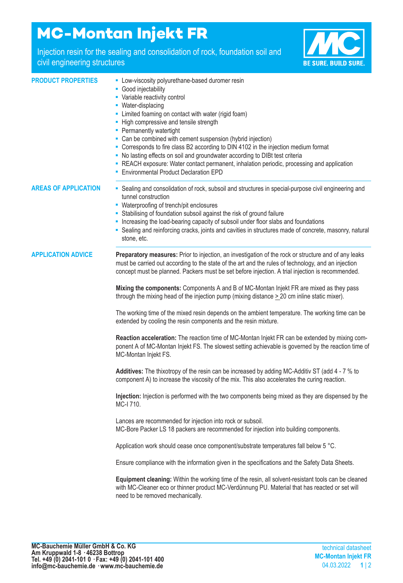# **MC-Montan Injekt FR**

Injection resin for the sealing and consolidation of rock, foundation soil and civil engineering structures



- **PRODUCT PROPERTIES** Low-viscosity polyurethane-based duromer resin
	- Good injectability
	- Variable reactivity control
	- Water-displacing
	- Limited foaming on contact with water (rigid foam)
	- High compressive and tensile strength
	- Permanently watertight
	- Can be combined with cement suspension (hybrid injection)
	- Corresponds to fire class B2 according to DIN 4102 in the injection medium format
	- No lasting effects on soil and groundwater according to DIBt test criteria
	- REACH exposure: Water contact permanent, inhalation periodic, processing and application
	- Environmental Product Declaration EPD

**AREAS OF APPLICATION** ■ Sealing and consolidation of rock, subsoil and structures in special-purpose civil engineering and

- tunnel construction ■ Waterproofing of trench/pit enclosures
- Stabilising of foundation subsoil against the risk of ground failure
- Increasing the load-bearing capacity of subsoil under floor slabs and foundations
- Sealing and reinforcing cracks, joints and cavities in structures made of concrete, masonry, natural stone, etc.

**APPLICATION ADVICE Preparatory measures:** Prior to injection, an investigation of the rock or structure and of any leaks must be carried out according to the state of the art and the rules of technology, and an injection concept must be planned. Packers must be set before injection. A trial injection is recommended.

> **Mixing the components:** Components A and B of MC-Montan Injekt FR are mixed as they pass through the mixing head of the injection pump (mixing distance  $\geq 20$  cm inline static mixer).

The working time of the mixed resin depends on the ambient temperature. The working time can be extended by cooling the resin components and the resin mixture.

**Reaction acceleration:** The reaction time of MC-Montan Injekt FR can be extended by mixing component A of MC-Montan Injekt FS. The slowest setting achievable is governed by the reaction time of MC-Montan Injekt FS.

**Additives:** The thixotropy of the resin can be increased by adding MC-Additiv ST (add 4 - 7 % to component A) to increase the viscosity of the mix. This also accelerates the curing reaction.

**Injection:** Injection is performed with the two components being mixed as they are dispensed by the MC-I 710.

Lances are recommended for injection into rock or subsoil. MC-Bore Packer LS 18 packers are recommended for injection into building components.

Application work should cease once component/substrate temperatures fall below 5 °C.

Ensure compliance with the information given in the specifications and the Safety Data Sheets.

**Equipment cleaning:** Within the working time of the resin, all solvent-resistant tools can be cleaned with MC-Cleaner eco or thinner product MC-Verdünnung PU. Material that has reacted or set will need to be removed mechanically.